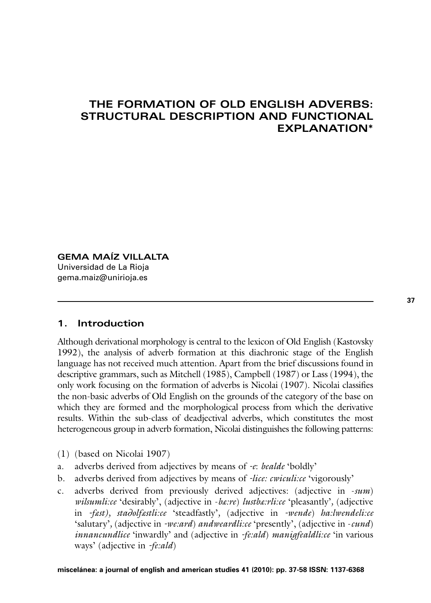## **THE FORMATION OF OLD ENGLISH ADVERBS: STRUCTURAL DESCRIPTION AND FUNCTIONAL EXPLANATION\***

## **GEMA MAÍZ VILLALTA** Universidad de La Rioja

gema.maiz@unirioja.es

## **1. Introduction**

Although derivational morphology is central to the lexicon of Old English (Kastovsky 1992), the analysis of adverb formation at this diachronic stage of the English language has not received much attention. Apart from the brief discussions found in descriptive grammars, such as Mitchell (1985), Campbell (1987) or Lass (1994), the only work focusing on the formation of adverbs is Nicolai (1907). Nicolai classifies the non-basic adverbs of Old English on the grounds of the category of the base on which they are formed and the morphological process from which the derivative results. Within the sub-class of deadjectival adverbs, which constitutes the most heterogeneous group in adverb formation, Nicolai distinguishes the following patterns:

- (1) (based on Nicolai 1907)
- a. adverbs derived from adjectives by means of *-e*: *bealde* 'boldly'
- b. adverbs derived from adjectives by means of *-lice: cwiculi:ce* 'vigorously'
- c. adverbs derived from previously derived adjectives: (adjective in -*sum*) *wilsumli:ce* 'desirably', (adjective in -*bæ:re*) *lustbæ:rli:ce* 'pleasantly'*,* (adjective in *-fæst), sta*∂*olfæstli:ce* 'steadfastly'*,* (adjective in *-wende*) *ha:lwendeli:ce* 'salutary'*,* (adjective in *-we:ard*) *andweardli:ce* 'presently', (adjective in -*cund*) *innancundlice* 'inwardly' and (adjective in *-fe:ald*) *manigfealdli:ce* 'in various ways' (adjective in *-fe:ald*)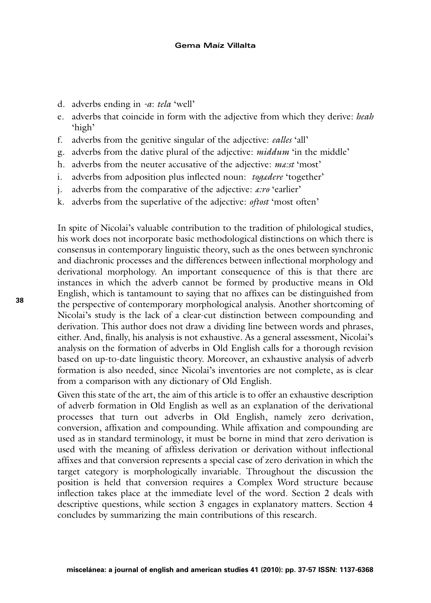- d. adverbs ending in *-a*: *tela* 'well'
- e. adverbs that coincide in form with the adjective from which they derive: *heah* 'high'
- f. adverbs from the genitive singular of the adjective: *ealles* 'all'
- g. adverbs from the dative plural of the adjective: *middum* 'in the middle'
- h. adverbs from the neuter accusative of the adjective: *mæ:st* 'most'
- i. adverbs from adposition plus inflected noun: *togædere* 'together'
- j. adverbs from the comparative of the adjective: *æ:ro* 'earlier'
- k. adverbs from the superlative of the adjective: *oftost* 'most often'

In spite of Nicolai's valuable contribution to the tradition of philological studies, his work does not incorporate basic methodological distinctions on which there is consensus in contemporary linguistic theory, such as the ones between synchronic and diachronic processes and the differences between inflectional morphology and derivational morphology. An important consequence of this is that there are instances in which the adverb cannot be formed by productive means in Old English, which is tantamount to saying that no affixes can be distinguished from the perspective of contemporary morphological analysis. Another shortcoming of Nicolai's study is the lack of a clear-cut distinction between compounding and derivation. This author does not draw a dividing line between words and phrases, either. And, finally, his analysis is not exhaustive. As a general assessment, Nicolai's analysis on the formation of adverbs in Old English calls for a thorough revision based on up-to-date linguistic theory. Moreover, an exhaustive analysis of adverb formation is also needed, since Nicolai's inventories are not complete, as is clear from a comparison with any dictionary of Old English.

Given this state of the art, the aim of this article is to offer an exhaustive description of adverb formation in Old English as well as an explanation of the derivational processes that turn out adverbs in Old English, namely zero derivation, conversion, affixation and compounding. While affixation and compounding are used as in standard terminology, it must be borne in mind that zero derivation is used with the meaning of affixless derivation or derivation without inflectional affixes and that conversion represents a special case of zero derivation in which the target category is morphologically invariable. Throughout the discussion the position is held that conversion requires a Complex Word structure because inflection takes place at the immediate level of the word. Section 2 deals with descriptive questions, while section 3 engages in explanatory matters. Section 4 concludes by summarizing the main contributions of this research.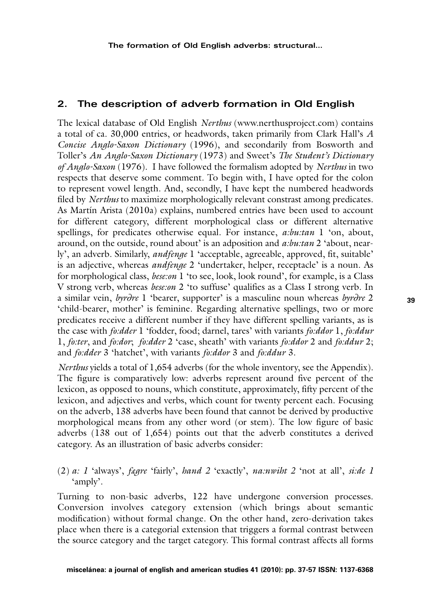## **2. The description of adverb formation in Old English**

The lexical database of Old English *Nerthus* (www.nerthusproject.com) contains a total of ca. 30,000 entries, or headwords, taken primarily from Clark Hall's *A Concise Anglo-Saxon Dictionary* (1996), and secondarily from Bosworth and Toller's *An Anglo-Saxon Dictionary* (1973) and Sweet's *The Student's Dictionary of Anglo-Saxon* (1976). I have followed the formalism adopted by *Nerthus* in two respects that deserve some comment. To begin with, I have opted for the colon to represent vowel length. And, secondly, I have kept the numbered headwords filed by *Nerthus* to maximize morphologically relevant constrast among predicates. As Martín Arista (2010a) explains, numbered entries have been used to account for different category, different morphological class or different alternative spellings, for predicates otherwise equal. For instance, *a:bu:tan* 1 'on, about, around, on the outside, round about' is an adposition and *a:bu:tan* 2 'about, nearly', an adverb. Similarly, *andfenge* 1 'acceptable, agreeable, approved, fit, suitable' is an adjective, whereas *andfenge* 2 'undertaker, helper, receptacle' is a noun. As for morphological class, *bese:on* 1 'to see, look, look round', for example, is a Class V strong verb, whereas *bese:on* 2 'to suffuse' qualifies as a Class I strong verb. In a similar vein, *byr*∂*re* 1 'bearer, supporter' is a masculine noun whereas *byr*∂*re* 2 'child-bearer, mother' is feminine. Regarding alternative spellings, two or more predicates receive a different number if they have different spelling variants, as is the case with *fo:dder* 1 'fodder, food; darnel, tares' with variants *fo:ddor* 1, *fo:ddur* 1, *fo:ter*, and *fo:dor*; *fo:dder* 2 'case, sheath' with variants *fo:ddor* 2 and *fo:ddur* 2; and *fo:dder* 3 'hatchet', with variants *fo:ddor* 3 and *fo:ddur* 3.

*Nerthus* yields a total of 1,654 adverbs (for the whole inventory, see the Appendix). The figure is comparatively low: adverbs represent around five percent of the lexicon, as opposed to nouns, which constitute, approximately, fifty percent of the lexicon, and adjectives and verbs, which count for twenty percent each. Focusing on the adverb, 138 adverbs have been found that cannot be derived by productive morphological means from any other word (or stem). The low figure of basic adverbs (138 out of 1,654) points out that the adverb constitutes a derived category. As an illustration of basic adverbs consider:

(2) *a: 1* 'always', *fægre* 'fairly', *hand 2* 'exactly', *na:nwiht 2* 'not at all', *si:de 1* 'amply'.

Turning to non-basic adverbs, 122 have undergone conversion processes. Conversion involves category extension (which brings about semantic modification) without formal change. On the other hand, zero-derivation takes place when there is a categorial extension that triggers a formal contrast between the source category and the target category. This formal contrast affects all forms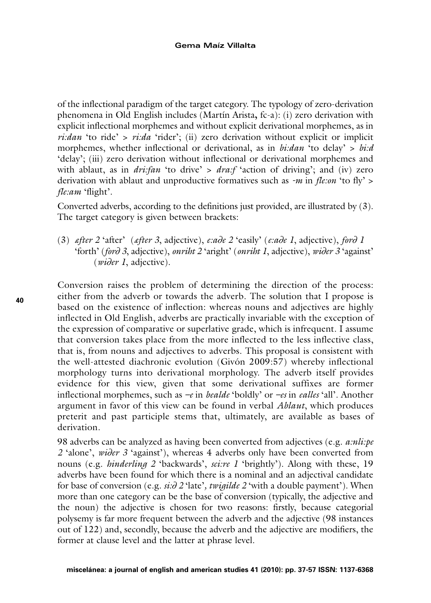of the inflectional paradigm of the target category. The typology of zero-derivation phenomena in Old English includes (Martín Arista, fc-a): (i) zero derivation with explicit inflectional morphemes and without explicit derivational morphemes, as in *ri:dan* 'to ride' > *ri:da* 'rider'; (ii) zero derivation without explicit or implicit morphemes, whether inflectional or derivational, as in *bi:dan* 'to delay' > bi:d 'delay'; (iii) zero derivation without inflectional or derivational morphemes and with ablaut, as in *dri:fan* 'to drive' > *dra:f* 'action of driving'; and (iv) zero derivation with ablaut and unproductive formatives such as  $-m$  in *fle:on* 'to fly' > fle:am 'flight'.

Converted adverbs, according to the definitions just provided, are illustrated by (3). The target category is given between brackets:

(3) after 2 'after' (after 3, adjective), e:ade 2 'easily' (e:ade 1, adjective), ford 1 'forth' (ford 3, adjective), onriht 2 'aright' (onriht 1, adjective), wider 3 'against'  $(wider 1, adjective).$ 

Conversion raises the problem of determining the direction of the process: either from the adverb or towards the adverb. The solution that I propose is based on the existence of inflection: whereas nouns and adiectives are highly inflected in Old English, adverbs are practically invariable with the exception of the expression of comparative or superlative grade, which is infrequent. I assume that conversion takes place from the more inflected to the less inflective class, that is, from nouns and adjectives to adverbs. This proposal is consistent with the well-attested diachronic evolution (Givón 2009:57) whereby inflectional morphology turns into derivational morphology. The adverb itself provides evidence for this view, given that some derivational suffixes are former inflectional morphemes, such as  $-e$  in *bealde* 'boldly' or  $-e$ s in *ealles* 'all'. Another argument in favor of this view can be found in verbal *Ablaut*, which produces preterit and past participle stems that, ultimately, are available as bases of derivation.

98 adverbs can be analyzed as having been converted from adjectives (e.g. *a:nli:pe* 2 'alone', wider 3 'against'), whereas 4 adverbs only have been converted from nouns (e.g. *hinderling 2 'backwards', sci:re 1 'brightly'*). Along with these, 19 adverbs have been found for which there is a nominal and an adjectival candidate for base of conversion (e.g.  $si: \partial 2$  'late', twigilde 2 'with a double payment'). When more than one category can be the base of conversion (typically, the adjective and the noun) the adjective is chosen for two reasons: firstly, because categorial polysemy is far more frequent between the adverb and the adjective (98 instances out of 122) and, secondly, because the adverb and the adjective are modifiers, the former at clause level and the latter at phrase level.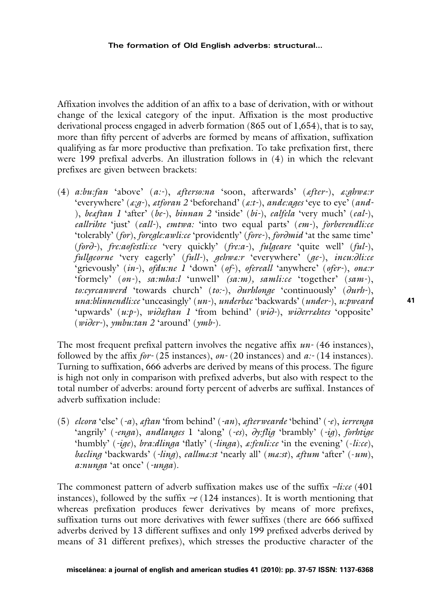#### **The formation of Old English adverbs: structural…**

Affixation involves the addition of an affix to a base of derivation, with or without change of the lexical category of the input. Affixation is the most productive derivational process engaged in adverb formation (865 out of 1,654), that is to say, more than fifty percent of adverbs are formed by means of affixation, suffixation qualifying as far more productive than prefixation. To take prefixation first, there were 199 prefixal adverbs. An illustration follows in (4) in which the relevant prefixes are given between brackets:

(4) *a:bu:fan* 'above' (*a:-*), *æfterso:na* 'soon, afterwards' (*æfter-*), *æ:ghwæ:r* 'everywhere' (*æ:g-*), *ætforan 2* 'beforehand' (*æ:t-*), *ande:ages* 'eye to eye' (*and-* ), *beæftan 1* 'after' (*be-*), *binnan 2* 'inside' (*bi-*), *ealfela* 'very much' (*eal-*), *eallrihte* 'just' (*eall-*), *emtwa:* 'into two equal parts' (*em-*), *forberendli:ce* 'tolerably' (*for*), *foregle:awli:ce* 'providently' (*fore-*), *for*∂*mid* 'at the same time' (*for*∂*-*), *fre:aofestli:ce* 'very quickly' (*fre:a-*), *fulgeare* 'quite well' (*ful-*), *fullgeorne* 'very eagerly' (*full-*), *gehwæ:r* 'everywhere' (*ge-*), *incu:*∂*li:ce* 'grievously' (*in-*), *ofdu:ne 1* 'down' (*of-*), *ofereall* 'anywhere' (*ofer-*), *onæ:r* 'formely' (*on-*), *sa:mha:l* 'unwell' *(sa:m), samli:ce* 'together' (*sam-*), *to:cyrcanwerd* 'towards church' (*to:-*), ∂*urhlonge* 'continuously' (∂*urh-*), *una:blinnendli:ce* 'unceasingly' (*un-*), *underbæc* 'backwards' (*under-*), *u:pweard* 'upwards' (*u:p-*), *wi*∂*æftan 1* 'from behind' (*wi*∂*-*), *wi*∂*erræhtes* 'opposite' (*wi*∂*er-*), *ymbu:tan 2* 'around' (*ymb-*).

The most frequent prefixal pattern involves the negative affix *un-* (46 instances), followed by the affix *for-* (25 instances), *on-* (20 instances) and *a:-* (14 instances). Turning to suffixation, 666 adverbs are derived by means of this process. The figure is high not only in comparison with prefixed adverbs, but also with respect to the total number of adverbs: around forty percent of adverbs are suffixal. Instances of adverb suffixation include:

(5) *elcora* 'else' (*-a*), *æftan* 'from behind' (*-an*), *æfterwearde* 'behind' (*-e*), *ierrenga* 'angrily' (*-enga*), *andlanges* 1 'along' (*-es*), ∂*y:flig* 'brambly' (*-ig*), *forhtige* 'humbly' (*-ige*), *bra:dlinga* 'flatly' (*-linga*), *æ:fenli:ce* 'in the evening' (-*li:ce*), *bæcling* 'backwards' (*-ling*), *eallmæ:st* 'nearly all' (*mæ:st*), *æftum* 'after' (-*um*), *a:nunga* 'at once' (*-unga*).

The commonest pattern of adverb suffixation makes use of the suffix *–li:ce* (401 instances), followed by the suffix  $-e(124$  instances). It is worth mentioning that whereas prefixation produces fewer derivatives by means of more prefixes, suffixation turns out more derivatives with fewer suffixes (there are 666 suffixed adverbs derived by 13 different suffixes and only 199 prefixed adverbs derived by means of 31 different prefixes), which stresses the productive character of the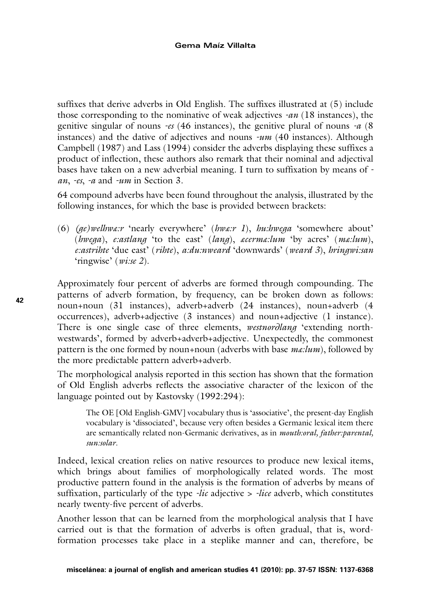suffixes that derive adverbs in Old English. The suffixes illustrated at (5) include those corresponding to the nominative of weak adjectives *-an* (18 instances), the genitive singular of nouns *-es* (46 instances), the genitive plural of nouns *-a* (8 instances) and the dative of adjectives and nouns *-um* (40 instances). Although Campbell (1987) and Lass (1994) consider the adverbs displaying these suffixes a product of inflection, these authors also remark that their nominal and adjectival bases have taken on a new adverbial meaning. I turn to suffixation by means of  *an*, *-es*, *-a* and *-um* in Section 3.

64 compound adverbs have been found throughout the analysis, illustrated by the following instances, for which the base is provided between brackets:

(6) *(ge)welhwæ:r* 'nearly everywhere' (*hwæ:r 1*), *hu:hwega* 'somewhere about' (*hwega*), *e:astlang* 'to the east' (*lang*), *æcermæ:lum* 'by acres' (*mæ:lum*), *e:astrihte* 'due east' (*rihte*), *a:du:nweard* 'downwards' (*weard 3*), *hringwi:san* 'ringwise' (*wi:se 2*).

Approximately four percent of adverbs are formed through compounding. The patterns of adverb formation, by frequency, can be broken down as follows: noun+noun (31 instances), adverb+adverb (24 instances), noun+adverb (4 occurrences), adverb+adjective (3 instances) and noun+adjective (1 instance). There is one single case of three elements, *westnor*∂*lang* 'extending northwestwards', formed by adverb+adverb+adjective. Unexpectedly, the commonest pattern is the one formed by noun+noun (adverbs with base *mæ:lum*), followed by the more predictable pattern adverb+adverb.

The morphological analysis reported in this section has shown that the formation of Old English adverbs reflects the associative character of the lexicon of the language pointed out by Kastovsky (1992:294):

The OE [Old English-GMV] vocabulary thus is 'associative', the present-day English vocabulary is 'dissociated', because very often besides a Germanic lexical item there are semantically related non-Germanic derivatives, as in *mouth:oral, father:parental, sun:solar*.

Indeed, lexical creation relies on native resources to produce new lexical items, which brings about families of morphologically related words. The most productive pattern found in the analysis is the formation of adverbs by means of suffixation, particularly of the type *-lic* adjective > *-lice* adverb, which constitutes nearly twenty-five percent of adverbs.

Another lesson that can be learned from the morphological analysis that I have carried out is that the formation of adverbs is often gradual, that is, wordformation processes take place in a steplike manner and can, therefore, be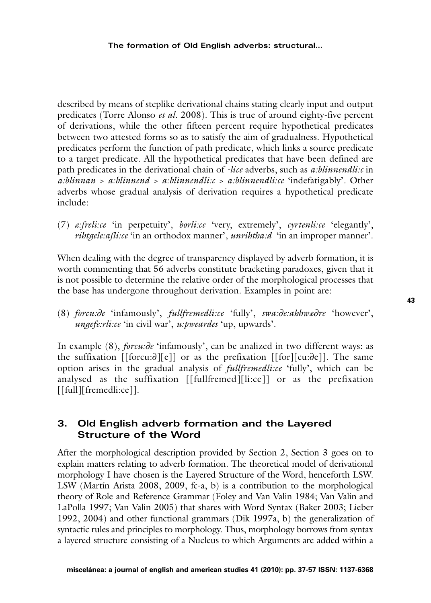described by means of steplike derivational chains stating clearly input and output predicates (Torre Alonso *et al.* 2008). This is true of around eighty-five percent of derivations, while the other fifteen percent require hypothetical predicates between two attested forms so as to satisfy the aim of gradualness. Hypothetical predicates perform the function of path predicate, which links a source predicate to a target predicate. All the hypothetical predicates that have been defined are path predicates in the derivational chain of *-lice* adverbs, such as  $a:blinnendlic$  in a:blinnan > a:blinnend > a:blinnendli:c > a:blinnendli:ce 'indefatigably'. Other adverbs whose gradual analysis of derivation requires a hypothetical predicate include:-

(7) a:freli:ce 'in perpetuity', borli:ce 'very, extremely', cyrtenli:ce 'elegantly', *ribtaele:afli:ce* 'in an orthodox manner', *unribtha:d* 'in an improper manner'.

When dealing with the degree of transparency displayed by adverb formation, it is worth commenting that 56 adverbs constitute bracketing paradoxes, given that it is not possible to determine the relative order of the morphological processes that the base has undergone throughout derivation. Examples in point are:

(8) forcu:de 'infamously', fullfremedli:ce 'fully', swa:de:ahhwadre 'however', *ungefe:rli:ce* 'in civil war', *u:pweardes* 'up, upwards'.

In example (8), *forcu:de* 'infamously', can be analized in two different ways: as the suffixation [[forcu: $\partial$ ][e]] or as the prefixation [[for][cu: $\partial$ e]]. The same option arises in the gradual analysis of *fullfremedli:ce* 'fully', which can be analysed as the suffixation [[fullfremed][li:ce]] or as the prefixation [[full][fremedli:ce]].

## 3. Old English adverb formation and the Layered **Structure of the Word**

After the morphological description provided by Section 2, Section 3 goes on to explain matters relating to adverb formation. The theoretical model of derivational morphology I have chosen is the Lavered Structure of the Word, henceforth LSW. LSW (Martín Arista 2008, 2009, fc-a, b) is a contribution to the morphological theory of Role and Reference Grammar (Foley and Van Valin 1984; Van Valin and LaPolla 1997; Van Valin 2005) that shares with Word Syntax (Baker 2003; Lieber 1992, 2004) and other functional grammars (Dik 1997a, b) the generalization of syntactic rules and principles to morphology. Thus, morphology borrows from syntax a lavered structure consisting of a Nucleus to which Arguments are added within a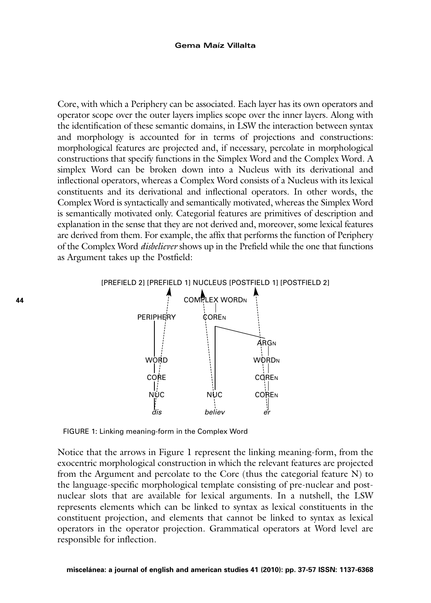Core, with which a Periphery can be associated. Each layer has its own operators and operator scope over the outer layers implies scope over the inner layers. Along with the identification of these semantic domains, in LSW the interaction between syntax and morphology is accounted for in terms of projections and constructions: morphological features are projected and, if necessary, percolate in morphological constructions that specify functions in the Simplex Word and the Complex Word. A simplex Word can be broken down into a Nucleus with its derivational and inflectional operators, whereas a Complex Word consists of a Nucleus with its lexical constituents and its derivational and inflectional operators. In other words, the Complex Word is syntactically and semantically motivated, whereas the Simplex Word is semantically motivated only. Categorial features are primitives of description and explanation in the sense that they are not derived and, moreover, some lexical features are derived from them. For example, the affix that performs the function of Periphery of the Complex Word *disbeliever* shows up in the Prefield while the one that functions as Argument takes up the Postfield:



FIGURE 1: Linking meaning-form in the Complex Word

Notice that the arrows in Figure 1 represent the linking meaning-form, from the exocentric morphological construction in which the relevant features are projected from the Argument and percolate to the Core (thus the categorial feature N) to the language-specific morphological template consisting of pre-nuclear and postnuclear slots that are available for lexical arguments. In a nutshell, the LSW represents elements which can be linked to syntax as lexical constituents in the constituent projection, and elements that cannot be linked to syntax as lexical operators in the operator projection. Grammatical operators at Word level are responsible for inflection.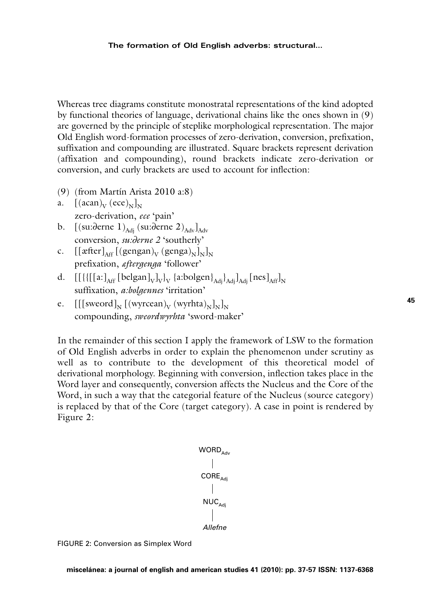Whereas tree diagrams constitute monostratal representations of the kind adopted by functional theories of language, derivational chains like the ones shown in (9) are governed by the principle of steplike morphological representation. The major Old English word-formation processes of zero-derivation, conversion, prefixation, suffixation and compounding are illustrated. Square brackets represent derivation (affixation and compounding), round brackets indicate zero-derivation or conversion, and curly brackets are used to account for inflection:

- (9) (from Martín Arista 2010 a:8)
- a.  $[(acan)_V (ece)_N]_N$ zero-derivation, *ece* 'pain'
- b.  $[(su:\overline{\partial}erne 1)_{\text{Adj}}(su:\overline{\partial}erne 2)_{\text{Adv}}]_{\text{Adv}}$ conversion, *su:*∂*erne 2* 'southerly'
- c.  $[[\text{after}]_{\text{AF}} [(\text{gengan})_{\text{V}} (\text{genga})_{\text{N}}]_{\text{N}}]_{\text{N}}$ prefixation, *æftergenga* 'follower'
- d.  $[[\{[\{[a:\]_{\text{Aff}} \, [\text{belgan}]_V\}_V \, \{a:\text{bolgen}\}_{\text{Adj}}\}_{\text{Adj}}]_{\text{Adj}}$  [nes] $_{\text{Aff}}]_N$ suffixation, *a:bolgennes* 'irritation'
- e.  $[[[sweord]_{N}](wyrcean)_{V}(wyrhta)_{N}]_{N}]_{N}$ compounding, *sweordwyrhta* 'sword-maker'

In the remainder of this section I apply the framework of LSW to the formation of Old English adverbs in order to explain the phenomenon under scrutiny as well as to contribute to the development of this theoretical model of derivational morphology. Beginning with conversion, inflection takes place in the Word layer and consequently, conversion affects the Nucleus and the Core of the Word, in such a way that the categorial feature of the Nucleus (source category) is replaced by that of the Core (target category). A case in point is rendered by Figure 2:

> WORD<sub>Adv</sub>  $\text{CORE}_{\text{Adj}}$  $NUC_{\text{Adi}}$ Allefne

FIGURE 2: Conversion as Simplex Word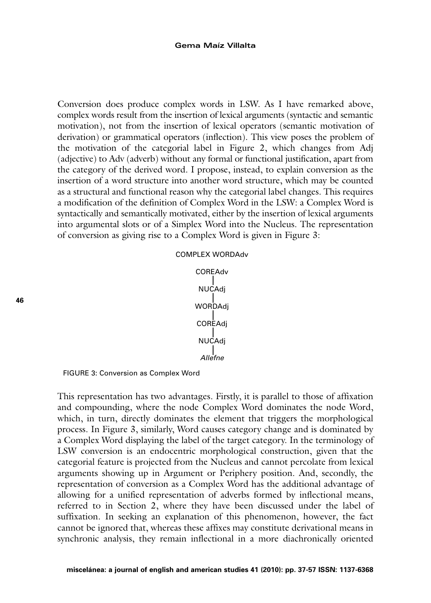Conversion does produce complex words in LSW. As I have remarked above, complex words result from the insertion of lexical arguments (syntactic and semantic motivation), not from the insertion of lexical operators (semantic motivation of derivation) or grammatical operators (inflection). This view poses the problem of the motivation of the categorial label in Figure 2, which changes from Adj (adjective) to Adv (adverb) without any formal or functional justification, apart from the category of the derived word. I propose, instead, to explain conversion as the insertion of a word structure into another word structure, which may be counted as a structural and functional reason why the categorial label changes. This requires a modification of the definition of Complex Word in the LSW: a Complex Word is syntactically and semantically motivated, either by the insertion of lexical arguments into argumental slots or of a Simplex Word into the Nucleus. The representation of conversion as giving rise to a Complex Word is given in Figure 3:



FIGURE 3: Conversion as Complex Word

This representation has two advantages. Firstly, it is parallel to those of affixation and compounding, where the node Complex Word dominates the node Word, which, in turn, directly dominates the element that triggers the morphological process. In Figure 3, similarly, Word causes category change and is dominated by a Complex Word displaying the label of the target category. In the terminology of LSW conversion is an endocentric morphological construction, given that the categorial feature is projected from the Nucleus and cannot percolate from lexical arguments showing up in Argument or Periphery position. And, secondly, the representation of conversion as a Complex Word has the additional advantage of allowing for a unified representation of adverbs formed by inflectional means, referred to in Section 2, where they have been discussed under the label of suffixation. In seeking an explanation of this phenomenon, however, the fact cannot be ignored that, whereas these affixes may constitute derivational means in synchronic analysis, they remain inflectional in a more diachronically oriented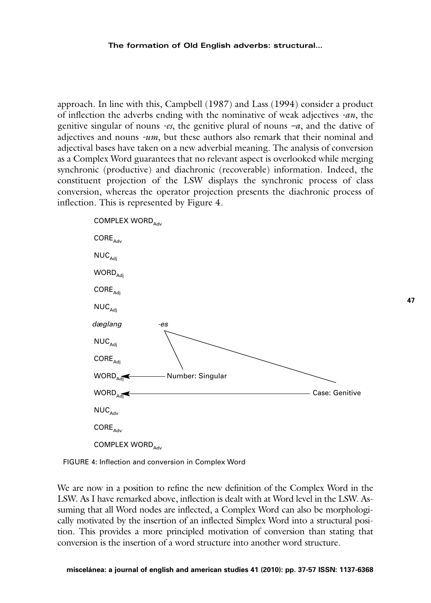approach. In line with this, Campbell (1987) and Lass (1994) consider a product of inflection the adverbs ending with the nominative of weak adjectives *-an*, the genitive singular of nouns *-es*, the genitive plural of nouns *–a*, and the dative of adjectives and nouns *-um*, but these authors also remark that their nominal and adjectival bases have taken on a new adverbial meaning. The analysis of conversion as a Complex Word guarantees that no relevant aspect is overlooked while merging synchronic (productive) and diachronic (recoverable) information. Indeed, the constituent projection of the LSW displays the synchronic process of class conversion, whereas the operator projection presents the diachronic process of inflection. This is represented by Figure 4.



FIGURE 4: Inflection and conversion in Complex Word

We are now in a position to refine the new definition of the Complex Word in the LSW. As I have remarked above, inflection is dealt with at Word level in the LSW. Assuming that all Word nodes are inflected, a Complex Word can also be morphologically motivated by the insertion of an inflected Simplex Word into a structural position. This provides a more principled motivation of conversion than stating that conversion is the insertion of a word structure into another word structure.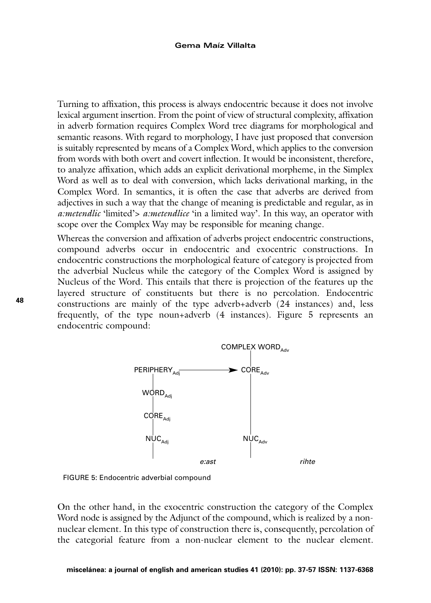#### **Gema Maíz Villalta**

Turning to affixation, this process is always endocentric because it does not involve lexical argument insertion. From the point of view of structural complexity, affixation in adverb formation requires Complex Word tree diagrams for morphological and semantic reasons. With regard to morphology, I have just proposed that conversion is suitably represented by means of a Complex Word, which applies to the conversion from words with both overt and covert inflection. It would be inconsistent, therefore, to analyze affixation, which adds an explicit derivational morpheme, in the Simplex Word as well as to deal with conversion, which lacks derivational marking, in the Complex Word. In semantics, it is often the case that adverbs are derived from adjectives in such a way that the change of meaning is predictable and regular, as in *a:metendlic* 'limited'> *a:metendlice* 'in a limited way'. In this way, an operator with scope over the Complex Way may be responsible for meaning change.

Whereas the conversion and affixation of adverbs project endocentric constructions, compound adverbs occur in endocentric and exocentric constructions. In endocentric constructions the morphological feature of category is projected from the adverbial Nucleus while the category of the Complex Word is assigned by Nucleus of the Word. This entails that there is projection of the features up the layered structure of constituents but there is no percolation. Endocentric constructions are mainly of the type adverb+adverb (24 instances) and, less frequently, of the type noun+adverb (4 instances). Figure 5 represents an endocentric compound:



FIGURE 5: Endocentric adverbial compound

On the other hand, in the exocentric construction the category of the Complex Word node is assigned by the Adjunct of the compound, which is realized by a nonnuclear element. In this type of construction there is, consequently, percolation of the categorial feature from a non-nuclear element to the nuclear element.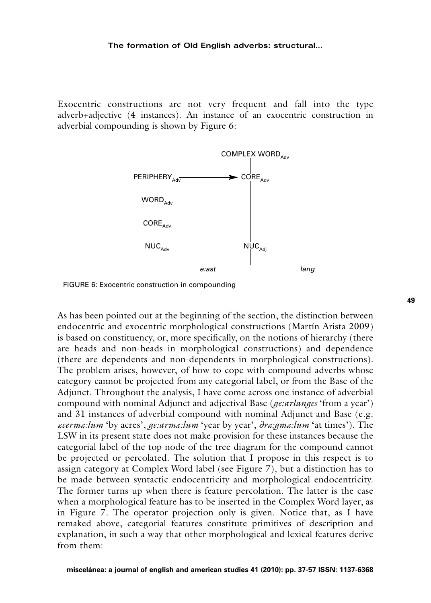#### **The formation of Old English adverbs: structural…**

Exocentric constructions are not very frequent and fall into the type adverb+adjective (4 instances). An instance of an exocentric construction in adverbial compounding is shown by Figure 6:



FIGURE 6: Exocentric construction in compounding

As has been pointed out at the beginning of the section, the distinction between endocentric and exocentric morphological constructions (Martín Arista 2009) is based on constituency, or, more specifically, on the notions of hierarchy (there are heads and non-heads in morphological constructions) and dependence (there are dependents and non-dependents in morphological constructions). The problem arises, however, of how to cope with compound adverbs whose category cannot be projected from any categorial label, or from the Base of the Adjunct. Throughout the analysis, I have come across one instance of adverbial compound with nominal Adjunct and adjectival Base (*ge:arlanges* 'from a year') and 31 instances of adverbial compound with nominal Adjunct and Base (e.g. *æcermæ:lum* 'by acres', *ge:armæ:lum* 'year by year', ∂*ræ:gmæ:lum* 'at times'). The LSW in its present state does not make provision for these instances because the categorial label of the top node of the tree diagram for the compound cannot be projected or percolated. The solution that I propose in this respect is to assign category at Complex Word label (see Figure 7), but a distinction has to be made between syntactic endocentricity and morphological endocentricity. The former turns up when there is feature percolation. The latter is the case when a morphological feature has to be inserted in the Complex Word layer, as in Figure 7. The operator projection only is given. Notice that, as I have remaked above, categorial features constitute primitives of description and explanation, in such a way that other morphological and lexical features derive from them: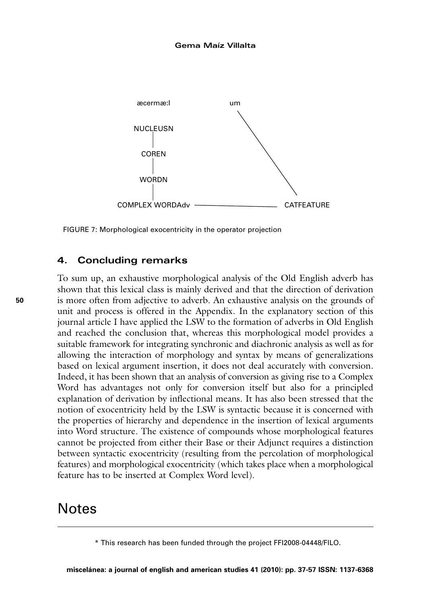

FIGURE 7: Morphological exocentricity in the operator projection

## **4. Concluding remarks**

To sum up, an exhaustive morphological analysis of the Old English adverb has shown that this lexical class is mainly derived and that the direction of derivation is more often from adjective to adverb. An exhaustive analysis on the grounds of unit and process is offered in the Appendix. In the explanatory section of this journal article I have applied the LSW to the formation of adverbs in Old English and reached the conclusion that, whereas this morphological model provides a suitable framework for integrating synchronic and diachronic analysis as well as for allowing the interaction of morphology and syntax by means of generalizations based on lexical argument insertion, it does not deal accurately with conversion. Indeed, it has been shown that an analysis of conversion as giving rise to a Complex Word has advantages not only for conversion itself but also for a principled explanation of derivation by inflectional means. It has also been stressed that the notion of exocentricity held by the LSW is syntactic because it is concerned with the properties of hierarchy and dependence in the insertion of lexical arguments into Word structure. The existence of compounds whose morphological features cannot be projected from either their Base or their Adjunct requires a distinction between syntactic exocentricity (resulting from the percolation of morphological features) and morphological exocentricity (which takes place when a morphological feature has to be inserted at Complex Word level).

## **Notes**

<sup>\*</sup> This research has been funded through the project FFI2008-04448/FILO.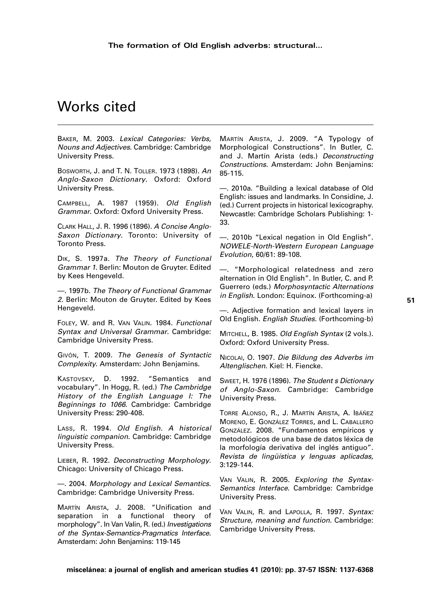# Works cited

BAKER, M. 2003. Lexical Categories: Verbs, Nouns and Adjectives. Cambridge: Cambridge University Press.

BOSWORTH, J. and T. N. TOLLER. 1973 (1898). An Anglo-Saxon Dictionary. Oxford: Oxford University Press.

CAMPBELL, A. 1987 (1959). Old English Grammar. Oxford: Oxford University Press.

CLARK HALL, J. R. 1996 (1896). A Concise Anglo-Saxon Dictionary. Toronto: University of Toronto Press.

DIK, S. 1997a. The Theory of Functional Grammar 1. Berlin: Mouton de Gruyter. Edited by Kees Hengeveld.

—. 1997b. The Theory of Functional Grammar 2. Berlin: Mouton de Gruyter. Edited by Kees Hengeveld.

FOLEY, W. and R. VAN VALIN. 1984. Functional Syntax and Universal Grammar. Cambridge: Cambridge University Press.

GIVÓN, T. 2009. The Genesis of Syntactic Complexity. Amsterdam: John Benjamins.

KASTOVSKY, D. 1992. "Semantics and vocabulary". In Hogg, R. (ed.) The Cambridge History of the English Language I: The Beginnings to 1066. Cambridge: Cambridge University Press: 290-408.

LASS, R. 1994. Old English. A historical linguistic companion. Cambridge: Cambridge University Press.

LIEBER, R. 1992. Deconstructing Morphology. Chicago: University of Chicago Press.

—. 2004. Morphology and Lexical Semantics. Cambridge: Cambridge University Press.

MARTÍN ARISTA, J. 2008. "Unification and separation in a functional theory of morphology". In Van Valin, R. (ed.) Investigations of the Syntax-Semantics-Pragmatics Interface. Amsterdam: John Benjamins: 119-145

MARTÍN ARISTA, J. 2009. "A Typology of Morphological Constructions". In Butler, C. and J. Martín Arista (eds.) Deconstructing Constructions. Amsterdam: John Benjamins: 85-115.

—. 2010a. "Building a lexical database of Old English: issues and landmarks. In Considine, J. (ed.) Current projects in historical lexicography. Newcastle: Cambridge Scholars Publishing: 1- 33.

—. 2010b "Lexical negation in Old English". NOWELE-North-Western European Language Evolution, 60/61: 89-108.

—. "Morphological relatedness and zero alternation in Old English". In Butler, C. and P. Guerrero (eds.) Morphosyntactic Alternations in English. London: Equinox. (Forthcoming-a)

—. Adjective formation and lexical layers in Old English. English Studies. (Forthcoming-b)

MITCHELL, B. 1985. Old English Syntax (2 vols.). Oxford: Oxford University Press.

NICOLAI, O. 1907. Die Bildung des Adverbs im Altenglischen. Kiel: H. Fiencke.

SWEET, H. 1976 (1896). The Student s Dictionary of Anglo-Saxon. Cambridge: Cambridge University Press.

TORRE ALONSO, R., J. MARTÍN ARISTA, A. IBÁÑEZ MORENO, E. GONZÁLEZ TORRES, and L. CABALLERO GONZÁLEZ. 2008. "Fundamentos empíricos y metodológicos de una base de datos léxica de la morfología derivativa del inglés antiguo". Revista de lingüística y lenguas aplicadas, 3:129-144.

VAN VALIN, R. 2005. Exploring the Syntax-Semantics Interface. Cambridge: Cambridge University Press.

VAN VALIN, R. and LAPOLLA, R. 1997. Svntax: Structure, meaning and function. Cambridge: Cambridge University Press.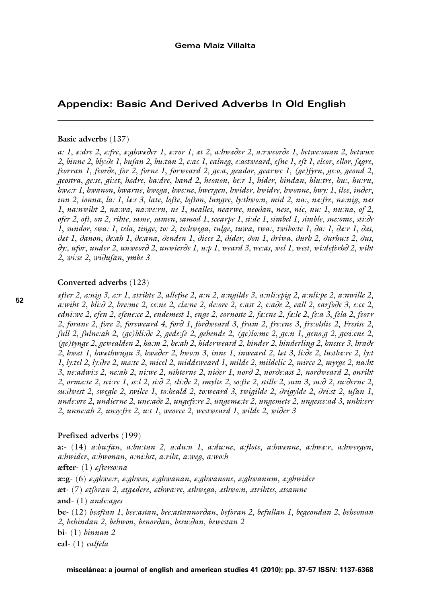## Appendix: Basic And Derived Adverbs In Old English

#### Basic adverbs (137)

a: 1, e:dre 2, e:fre, e:ahweder 1, e:ror 1, et 2, a:hweder 2, a:rweorde 1, betwe:onan 2, betwux 2, binne 2, bly:de 1, bufan 2, bu:tan 2, e:ac 1, ealneg, e:astweard, efne 1, eft 1, elcor, ellor, fegre, feorran 1, feorde, for 2, forne 1, forweard 2, ge:a, geador, gearwe 1, (ge) fyrn, ge:o, geond 2, aeostra, aese, ai et, hedre, ha dre, hand 2, heonon, her 1, hider, hindan, hlu:tre, hu.; hu:ru, hwa:r 1, hwanon, hwarne, hwega, hwe:ne, hwergen, hwider, hwidre, hwonne, hwy: 1, ilce, inder, inn 2, ionna, la: 1, la:s 3, late, lofte, lofton, lungre, ly:thwo:n, mid 2, na:, na:fre, na:nig, nas 1, na:nwiht 2, na:wa, na:we:rn, ne 1, nealles, nearwe, neodan, nese, nic, nu: 1, nu:na, of 2, ofer 2, oft, on 2, rihte, same, samen, samod 1, scearpe 1, si:de 1, simbel 1, simble, sne:ome, sti:de 1, sundor, swa: 1, tela, tinge, to: 2, to:hwega, tulge, tuwa, twa:, twibo:te 1, da: 1, da:r 1, das, det 1. danon. de:ah 1. de:ana. denden 1. dicce 2. dider. don 1. driwa. durh 2. durhu:t 2. dus.  $\partial y$ ; ufor, under 2, unweord 2, unwierde 1, u.p 1, weard 3, we.as, wel 1, west, wi.deferbd 2, wiht 2, wi:se 2, widufan, ymbe 3

#### Converted adverbs (123)

efter 2, a niq 3, a r 1, atribte 2, allefne 2, a n 2, a ngilde 3, a nli epig 2, a nli pe 2, a nwille 2, a:wiht 2, bli: $\partial$  2, bre:me 2, ce:ne 2, cla:ne 2, de:ore 2, e:ast 2, e:ade 2, eall 2, earfode 3, e:ce 2, edni:we 2, efen 2, efene:ce 2, endemest 1, enge 2, eornoste 2, fa:cne 2, fa:le 2, fe:a 3, fela 2, feorr 2, forane 2, fore 2, foreweard 4, ford 1, fordweard 3, fram 2, fre:cne 3, fre:olslic 2, Fresisc 2, full 2, fulne:ah 2, (ge)bli:de 2, gede:fe 2, gehende 2, (ge)lo:me 2, ge:n 1, geno:g 2, gesi:ene 2,  $(ae)$ tynge 2, gewealden 2, ha:m 2, he:ah 2, hiderweard 2, hinder 2, hinderling 2, hnesce 3, hrade 2, livet 1, livethwugu 3, liweder 2, liwo:n 3, inne 1, inweard 2, let 3, li:de 2, lustbe:re 2, ly:t 1, ly:tel 2, ly:dre 2, ma:te 2, micel 2, middeweard 1, milde 2, mildelic 2, mirce 2, myrge 2, na:ht 3, ne:adwi:s 2, ne:ah 2, ni:we 2, nihterne 2, nider 1, nord 2, norde:ast 2, nordweard 2, onriht 2, orma:te 2, sci:re 1, se:l 2, si: $\partial$  2, sli: $\partial$ e 2, smylte 2, so:fte 2, stille 2, sum 3, su: $\partial$  2, su: $\partial$ erne 2, su: dwest 2, sweale 2, swilce 1, to: heald 2, to: weard 3, twigilde 2, drigylde 2, dri: st 2, ufan 1, unde:ore 2, undierne 2, une:ade 2, ungefe:re 2, ungema:te 2, ungemete 2, ungesce:ad 3, unhi:ere 2, unne: ah 2, unsy: fre 2, u.t 1, weorce 2, westweard 1, wilde 2, wider 3

#### Prefixed adverbs (199)

 $a$ : (14)  $a:bu$ : fan,  $a:bu$ : tan 2,  $a:du$ :  $n$  1,  $a:du$ :  $n$ ,  $a:flote$ ,  $a:bw$  anne,  $a:bw$ ,  $a:bw$  ergen, a.hwider, a.hwonan, a.ni.hst, a.riht, a.weg, a.wo.h  $\textbf{æfter-}(1)$  afterso:na  $x:g-$  (6)  $x:ghw x: r$ ,  $x:ghw x$ ,  $x:ghw ann a$ ,  $x:ghw ann a$ ,  $x:ghw ann a$ ,  $x:ghw ider$  $\mathbf{a}t$ - (7) atforan 2, atgadere, athwa:re, athwega, athwo:n, atrihtes, atsamne and- $(1)$  ande:ages be- (12) beeftan 1, bee:astan, bee:astannordan, beforan 2, befullan 1, begeondan 2, beheonan 2, behindan 2, behwon, benordan, besu:dan, bewestan 2  $bi-$ (1)  $binnan 2$ eal- $(1)$  ealfela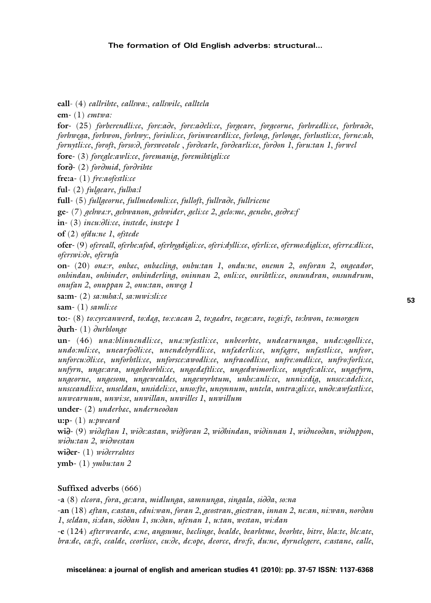#### The formation of Old English adverbs: structural...

eall- (4) eallrihte, eallswa:, eallswilc, ealltela

em- $(1)$  emtwa:

for- (25) forberendlice, fore:ade, fore:adelice, foraeare, foraeorne, forbredlice, forbrade, forbwega, forbwon, forbwy:, forinlice, forinweardlice, forlong, forlonge, forlustlice, forne:ah, fornytli:ce, foroft, forso:d, forsweotole, fordearle, fordearli:ce, fordon 1, foru:tan 1, forwel

fore- (3) foregle:awli:ce, foremanig, foremihtigli:ce

for<sub>d</sub>-(2) fordmid, fordrihte

fre: $a - (1)$  fre: $a$ ofestli: $ce$ 

ful- $(2)$  fulgeare, fulba:

full- (5) fullgeorne, fullmedomli:ce, fulloft, fullrade, fullricene

**ge**- (7) *aehwa:r, aehwanon, aehwider, aeli:ce 2, aelo:me, aenehe, aedra:f* 

 $in-(3)$  incu: $\partial$ li:ce, instede, instepe 1

 $of (2) of du: ne 1, of stede$ 

ofer-(9) ofereall, oferbe:afod, oferbygdigli:ce, oferi:dylli:ce, oferli:ce, ofermo:digli:ce, oferra:dli:ce, oferswi:de, oferufa

on- $(20)$  one:r, onbec, onbecling, onbu:tan 1, ondu:ne, onemn 2, onforan 2, ongeador, onhindan, onhinder, onhinderling, oninnan 2, onli:ce, onrihtli:ce, onsundran, onsundrum, onufan 2, onuppan 2, onu:tan, onweg 1

sa:m- $(2)$  sa:mba:l, sa:mwi:sli:ce

sam- $(1)$  samli:ce

to:- (8) to: cyrcanwerd, to: deg, to: e: acan 2, to: gedre, to: ge: are, to: gi: fe, to: hwon, to: morgen  $\partial$ urh- $(1)$   $\partial$ urhlonge

 $un-(46)$  una:blinnendli:ce, una:wfastli:ce, unbeorbte, undearnunga, unde:ogolli:ce, undo:mli:ce, unearfodli:ce, unendebyrdli:ce, unfæderli:ce, unfægre, unfæstli:ce, unfeor, unforcu:dli:ce, unforbtli:ce, unforsce:awodli:ce, unfracodli:ce, unfre:ondli:ce, unfro:forli:ce, unfyrn, unge;ara, ungebeorblice, ungedeftlice, ungedwimorlice, ungefe;alice, ungefyrn, ungeorne, ungesom, ungewealdes, ungewyrhtum, unhe:anli:ce, unni:edig, unsce:adeli:ce, unsceandlice, unseldan, unsidelice, unsocfte, unsynnum, untela, untra glice, unde awfestlice, unwearnum, unwise, unwillan, unwilles 1, unwillum

 $under-(2)$  underbac, underneodan

 $u:p-(1)$  u:pweard

wid- (9) wideftan 1, wide:astan, widforan 2, widhindan, widinnan 1, widneodan, widuppon, widu tan 2 widwestan

 $wide_{c}$  (1)  $wide_{r}$ 

 $ymb-(1)$   $ymbu:tan 2$ 

## Suffixed adverbs (666)

-a (8) elcora, fora, ge:ara, midlunga, samnunga, singala, sidda, so:na

-an (18) eftan, e:astan, edni:wan, foran 2, geostran, giestran, innan 2, ne:an, ni:wan, nordan I. seldan, si:dan, siddan I. su:dan, ufenan I. u:tan, westan, wi:dan

e (124) afterwearde, aine, angsume, baclinge, bealde, bearhtme, beorhte, bitre, blaite, bleiate, bra; de, ca; fe, cealde, ceorlisce, cu; de, de: ope, deorce, dro; fe, du; ne, dyrnelegere, e; astane, ealle,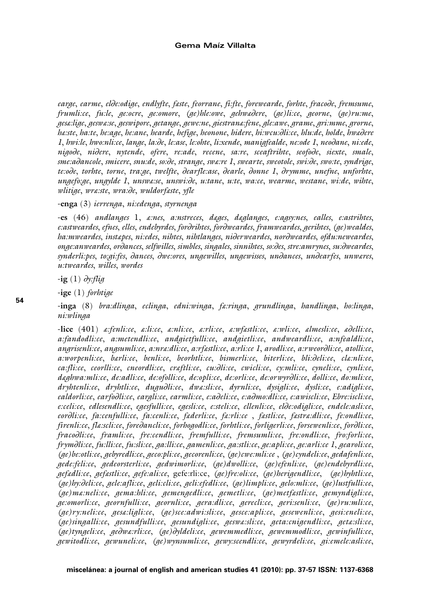#### **Gema Maíz Villalta**

*earge*, *earme*, *el*∂*e:odige*, *endlyfte*, *fæste*, *feorrane*, *fi:fte*, *forewearde*, *forhte*, *fraco*∂*e*, *fremsume*, *frumli:ce*, *fu:le*, *ge:ocre*, *ge:omore*, *(ge)hle:owe*, *gehwæ*∂*ere*, *(ge)li:ce*, *georne*, *(ge)ru:me*, *gesæ:lige*, *geswæ:se*, *geswipore*, *getange*, *gewe:ne*, *giestranæ:fene*, *gle:awe*, *grame*, *gri:mme*, *grorne*, *hæ:ste*, *ha:te*, *he:age*, *he:ane*, *hearde*, *hefige*, *heonone*, *hidere*, *hi:wcu:*∂*li:ce*, *hlu:de*, *holde*, *hwæ*∂*ere 1*, *hwi:le*, *hwo:nli:ce*, *lange*, *la:*∂*e*, *le:ase*, *le:ohte*, *li:xende*, *manigfealde*, *ne:ode 1*, *neo*∂*ane*, *ni:ede*, *nigo*∂*e*, *ni*∂*ere*, *nytende*, *ofere*, *re:ade*, *recene*, *sa:re*, *sceaftrihte*, *seofo*∂*e*, *siexte*, *smale*, *sme:a*∂*ancole*, *smicere*, *snu:de*, *so:*∂*e*, *strange*, *swæ:re 1*, *swearte*, *sweotole*, *swi:*∂*e*, *swo:te*, *syndrige*, *te:o*∂*e*, *torhte*, *torne*, *tra:ge*, *twelfte*, ∂*earfle:ase*, ∂*earle*, ∂*onne 1*, ∂*rymme*, *unefne*, *unforhte*, *ungefo:ge*, *ungylde 1*, *unswæ:se*, *unswi:*∂*e*, *u:tane*, *u:te*, *wa:ce*, *wearme*, *westane*, *wi:de*, *wihte*, *wlitige*, *wræ:ste*, *wra:*∂*e*, *wuldorfæste*, *yfle*

**-enga** (3) *ierrenga*, *ni:edenga*, *styrnenga*

**-es** (46) *andlanges* 1, *æ:nes*, *a:nstreces*, *dæges*, *dæglanges*, *e:agsy:nes*, *ealles*, *e:astrihtes*, *e:astweardes*, *efnes*, *elles*, *endebyrdes*, *for*∂*rihtes*, *for*∂*weardes*, *framweardes*, *gerihtes*, *(ge)wealdes*, *ha:mweardes*, *instæpes*, *ni:edes*, *nihtes*, *nihtlanges*, *ni*∂*erweardes*, *nor*∂*weardes*, *ofdu:neweardes*, *onge:anweardes*, *or*∂*ances*, *selfwilles*, *simbles*, *singales*, *sinnihtes*, *so:*∂*es*, *stre:amrynes*, *su:*∂*weardes*, *synderli:pes*, *to:gi:fes*, ∂*ances*, ∂*we:ores*, *ungewilles*, *ungewisses*, *un*∂*ances*, *un*∂*earfes*, *unwæres*, *u:tweardes*, *willes*, *wordes*

**-ig** (1) ∂*y:flig*

**-ige** (1) *forhtige*

**-inga** (8) *bra:dlinga*, *eclinga*, *edni:winga*, *fæ:ringa*, *grundlinga*, *handlinga*, *ho:linga*, *ni:wlinga*

**-lice** (401) *æ:fenli:ce*, *æ:li:ce*, *æ:nli:ce*, *æ:rli:ce*, *æ:wfæstli:ce*, *æ:wli:ce*, *ælmesli:ce*, *æ*∂*elli:ce*, *a:fandodli:ce*, *a:metendli:ce*, *andgietfulli:ce*, *andgietli:ce*, *andweardli:ce*, *a:nfealdli:ce*, *angrisenli:ce*, *angsumli:ce*, *a:nræ:dli:ce*, *a:rfæstli:ce*, *a:rli:ce 1*, *arodli:ce*, *a:rweor*∂*li:ce*, *atolli:ce*, *a:worpenli:ce*, *bærli:ce*, *benli:ce*, *beorhtli:ce*, *bismerli:ce*, *biterli:ce*, *bli:*∂*eli:ce*, *clæ:nli:ce*, *ca:fli:ce*, *ceorlli:ce*, *cneordli:ce*, *cræftli:ce*, *cu:*∂*li:ce*, *cwicli:ce*, *cy:mli:ce*, *cyneli:ce*, *cynli:ce*, *dæghwa:mli:ce*, *de:adli:ce*, *de:ofolli:ce*, *de:opli:ce*, *de:orli:ce*, *de:orwyr*∂*li:ce*, *dolli:ce*, *do:mli:ce*, *dryhtenli:ce*, *dryhtli:ce*, *dugu*∂*li:ce*, *dwæ:sli:ce*, *dyrnli:ce*, *dysigli:ce*, *dysli:ce*, *e:adigli:ce*, *ealdorli:ce*, *earfo*∂*li:ce*, *eargli:ce*, *earmli:ce*, *e:a*∂*eli:ce*, *e:a*∂*mo:dli:ce, e:awiscli:ce*, *Ebre:iscli:ce*, *e:celi:ce*, *edlesendli:ce*, *egesfulli:ce*, *egesli:ce*, *e:steli:ce*, *ellenli:ce*, *el*∂*e:odigli:ce*, *endele:asli:ce*, *eor*∂*li:ce*, *fa:cenfulli:ce*, *fa:cenli:ce*, *fæderli:ce*, *fæ:rli:ce* , *fæstli:ce*, *fæstræ:dli:ce*, *fe:ondli:ce*, *firenli:ce*, *flæ:scli:ce*, *fore*∂*ancli:ce*, *forhogodli:ce*, *forhtli:ce*, *forligerli:ce*, *forsewenli:ce*, *for*∂*li:ce*, *fraco*∂*li:ce*, *framli:ce*, *fre:cendli:ce*, *fremfulli:ce*, *fremsumli:ce*, *fre:ondli:ce*, *fro:forli:ce*, *frym*∂*li:ce*, *fu:lli:ce*, *fu:sli:ce*, *ga:lli:ce*, *gamenli:ce*, *ga:stli:ce*, *ge:apli:ce*, *ge:arli:ce 1*, *gearoli:ce*, *(ge)be:otli:ce*, *gebyredli:ce*, *geco:pli:ce*, *gecorenli:ce*, *(ge)cwe:mli:ce* , *(ge)cyndeli:ce*, *gedafenli:ce*, *gede:feli:ce*, *gedeorsterli:ce*, *gedwimorli:ce*, *(ge)dwolli:ce*, *(ge)efenli:ce*, *(ge)endebyrdli:ce*, *gefædli:ce*, *gefæstli:ce*, *gefe:ali:ce*, gefe:rli:ce, *(ge)fre:oli:ce*, *(ge)herigendli:ce*, *(ge)hyhtli:ce*, *(ge)hy:*∂*eli:ce*, *gele:afli:ce*, *geli:cli:ce*, *geli:efedli:ce*, *(ge)limpli:ce*, *gelo:mli:ce*, *(ge)lustfulli:ce*, *(ge)mæ:neli:ce*, *gema:hli:ce*, *gemengedli:ce*, *gemetli:ce*, *(ge)metfæstli:ce*, *gemyndigli:ce*, *ge:omorli:ce*, *geornfulli:ce*, *geornli:ce*, *gera:dli:ce*, *gerecli:ce*, *geri:senli:ce*, *(ge)ru:mli:ce*, *(ge)ry:neli:ce*, *gesæ:ligli:ce*, *(ge)sce:adwi:sli:ce*, *gesce:apli:ce*, *gesewenli:ce*, *gesi:eneli:ce*, *(ge)singalli:ce*, *gesundfulli:ce*, *gesundigli:ce*, *geswæ:sli:ce*, *geta:cnigendli:ce*, *getæ:sli:ce*, *(ge)tyngeli:ce*, *ge*∂*wæ:rli:ce*, *(ge)*∂*yldeli:ce*, *gewemmedli:ce*, *gewemmodli:ce*, *gewinfulli:ce*, *gewitodli:ce*, *gewuneli:ce*, *(ge)wynsumli:ce*, *gewy:scendli:ce*, *gewyrdeli:ce*, *gi:emele:asli:ce*,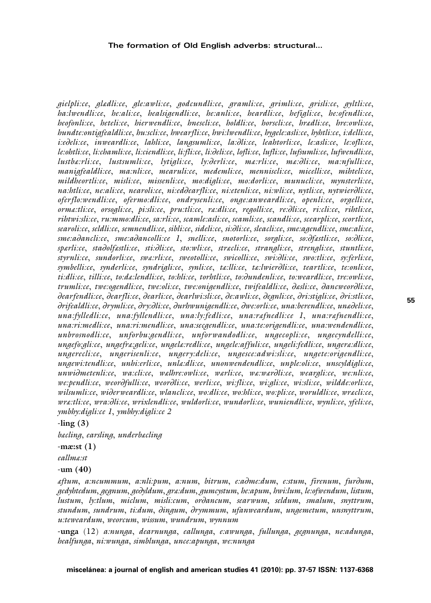#### **The formation of Old English adverbs: structural…**

*gielpli:ce*, *glædli:ce*, *gle:awli:ce*, *godcundli:ce*, *gramli:ce*, *grimli:ce*, *grisli:ce*, *gyltli:ce*, *ha:lwendli:ce*, *he:ali:ce*, *healsigendli:ce*, *he:anli:ce*, *heardli:ce*, *hefigli:ce*, *he:ofendli:ce*, *heofonli:ce*, *heteli:ce*, *hierwendli:ce*, *hnescli:ce*, *holdli:ce*, *horscli:ce*, *hrædli:ce*, *hre:owli:ce*, *hundte:ontigfealdli:ce*, *hu:scli:ce*, *hwearfli:ce*, *hwi:lwendli:ce*, *hygele:asli:ce*, *hyhtli:ce*, *i:delli:ce*, *i:e*∂*eli:ce*, *inweardli:ce*, *lahli:ce*, *langsumli:ce*, *la:*∂*li:ce*, *leahtorli:ce*, *le:asli:ce*, *le:ofli:ce*, *le:ohtli:ce*, *li:chamli:ce*, *li:ciendli:ce*, *li:fli:ce*, *li:*∂*eli:ce*, *lofli:ce*, *lufli:ce*, *lufsumli:ce*, *lufwendli:ce*, *lustbæ:rli:ce*, *lustsumli:ce*, *lytigli:ce*, *ly:*∂*erli:ce*, *mæ:rli:ce*, *mæ:*∂*li:ce*, *ma:nfulli:ce*, *manigfealdli:ce*, *ma:nli:ce*, *mearuli:ce*, *medemli:ce*, *menniscli:ce*, *micelli:ce*, *mihteli:ce*, *mildheortli:ce*, *misli:ce*, *missenli:ce*, *mo:digli:ce*, *mo:dorli:ce*, *munucli:ce*, *mynsterli:ce*, *na:htli:ce*, *ne:ali:ce*, *nearoli:ce*, *ni:ed*∂*earfli:ce*, *ni:etenli:ce*, *ni:wli:ce*, *nytli:ce*, *nytwier*∂*li:ce*, *oferflo:wendli:ce*, *ofermo:dli:ce*, *ondrysenli:ce*, *onge:anweardli:ce*, *openli:ce*, *orgelli:ce*, *ormæ:tli:ce*, *orsogli:ce*, *pi:sli:ce*, *pru:tli:ce*, *ræ:dli:ce*, *regolli:ce*, *re:*∂*li:ce*, *ri:cli:ce*, *rihtli:ce*, *rihtwi:sli:ce*, *ru:mmo:dli:ce*, *sa:rli:ce*, *scamle:asli:ce*, *scamli:ce*, *scandli:ce*, *scearpli:ce*, *scortli:ce*, *searoli:ce*, *seldli:ce*, *semnendli:ce*, *sibli:ce*, *sideli:ce*, *si:*∂*li:ce*, *sleacli:ce*, *sme:agendli:ce*, *sme:ali:ce*, *sme:a*∂*ancli:ce*, *sme:a*∂*ancolli:ce 1*, *snelli:ce*, *snotorli:ce*, *sorgli:ce*, *so:*∂*fæstli:ce*, *so:*∂*li:ce*, *spærli:ce*, *sta*∂*olfæstli:ce*, *sti:*∂*li:ce*, *sto:wli:ce*, *stræcli:ce*, *strangli:ce*, *strengli:ce*, *stuntli:ce*, *styrnli:ce*, *sundorli:ce*, *swæ:rli:ce*, *sweotolli:ce*, *swicolli:ce*, *swi:*∂*li:ce*, *swo:tli:ce*, *sy:ferli:ce*, *symbelli:ce*, *synderli:ce*, *syndrigli:ce*, *synli:ce*, *tæ:lli:ce*, *tæ:lwier*∂*li:ce*, *teartli:ce*, *te:onli:ce*, *ti:dli:ce*, *tilli:ce*, *to:dæ:lendli:ce*, *to:hli:ce*, *torhtli:ce*, *to:*∂*undenli:ce*, *to:weardli:ce*, *tre:owli:ce*, *trumli:ce*, *twe:ogendli:ce*, *twe:oli:ce*, *twe:onigendli:ce*, *twifealdli:ce*, ∂*æsli:ce*, ∂*ancweor*∂*li:ce*, ∂*earfendli:ce*, ∂*earfli:ce*, ∂*earli:ce*, ∂*earlwi:sli:ce*, ∂*e:awli:ce*, ∂*egnli:ce*, ∂*ri:stigli:ce*, ∂*ri:stli:ce*, ∂*rifealdli:ce*, ∂*rymli:ce*, ∂*ry:*∂*li:ce*, ∂*urhwunigendli:ce*, ∂*we:orli:ce*, *una:berendli:ce*, *unæ*∂*eli:ce*, *una:fylledli:ce*, *una:fyllendli:ce*, *una:ly:fedli:ce*, *una:ræfnedli:ce 1*, *una:ræfnendli:ce*, *una:ri:medli:ce*, *una:ri:mendli:ce*, *una:secgendli:ce*, *una:te:origendli:ce*, *una:wendendli:ce*, *unbrosnodli:ce*, *unforbu:gendli:ce*, *unforwandodli:ce*, *ungecopli:ce*, *ungecyndelli:ce*, *ungefo:gli:ce*, *ungefræ:geli:ce*, *ungelæ:redli:ce*, *ungele:affuli:ce*, *ungeli:fedli:ce*, *ungeræ:dli:ce*, *ungerecli:ce*, *ungerisenli:ce*, *ungery:deli:ce*, *ungesce:adwi:sli:ce*, *ungete:origendli:ce*, *ungewi:tendli:ce*, *unhi:erli:ce*, *unlæ:dli:ce*, *unonwendendli:ce*, *unple:oli:ce*, *unscyldigli:ce*, *unwi*∂*metenli:ce*, *wa:cli:ce*, *wælhre:owli:ce*, *wærli:ce*, *wæ:wær*∂*li:ce*, *weargli:ce*, *we:nli:ce*, *we:pendli:ce*, *weor*∂*fulli:ce*, *weor*∂*li:ce*, *werli:ce*, *wi:fli:ce*, *wi:gli:ce*, *wi:sli:ce*, *wildde:orli:ce*, *wilsumli:ce*, *wi*∂*erweardli:ce*, *wlancli:ce*, *wo:dli:ce*, *wo:hli:ce*, *wo:pli:ce*, *woruldli:ce*, *wræcli:ce*, *wræ:tli:ce*, *wra:*∂*li:ce*, *wrixlendli:ce*, *wuldorli:ce*, *wundorli:ce*, *wuniendli:ce*, *wynli:ce*, *yfeli:ce*, *ymbhy:digli:ce 1*, *ymbhy:digli:ce 2*

**-ling (3)**

*bæcling*, *earsling*, *underbæcling*

**-mæ:st (1)**

*eallmæ:st*

**-um (40)**

*æftum*, *a:ncummum*, *a:nli:pum*, *a:num*, *bitrum*, *e:a*∂*me:dum*, *e:stum*, *firenum*, *fur*∂*um*, *gedyhtedum*, *gegnum*, *ge*∂*yldum*, *græ:dum*, *gumcystum*, *he:apum*, *hwi:lum*, *le:ofwendum*, *listum*, *lustum*, *ly:tlum*, *miclum*, *misli:cum*, *or*∂*ancum*, *searwum*, *seldum*, *smalum*, *snyttrum*, *stundum*, *sundrum*, *ti:dum*, ∂*ingum*, ∂*rymmum*, *ufanweardum*, *ungemetum*, *unsnyttrum*, *u:teweardum*, *weorcum*, *wissum*, *wundrum*, *wynnum*

**-unga** (12) *a:nunga*, *dearnunga*, *eallunga*, *e:awunga*, *fullunga*, *gegnunga*, *ne:adunga*, *healfunga*, *ni:wunga*, *simblunga*, *unce:apunga*, *we:nunga*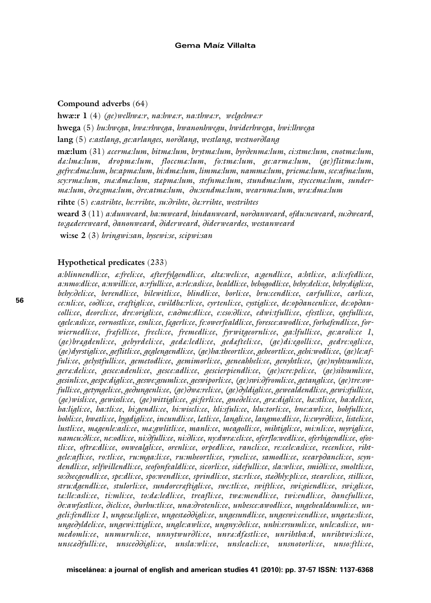#### **Compound adverbs** (64)

**hwæ:r 1** (4) *(ge)welhwæ:r*, *na:hwæ:r*, *na:thwæ:r*, *welgehwæ:r* **hwega** (5) *hu:hwega*, *hwæ:rhwega*, *hwanonhwegu*, *hwiderhwega*, *hwi:lhwega* **lang** (5) *e:astlang*, *ge:arlanges*, *nor*∂*lang*, *westlang*, *westnor*∂*lang*

**mæ:lum** (31) *æcermæ:lum*, *bitmæ:lum*, *brytmæ:lum*, *byr*∂*enmæ:lum*, *ci:stme:lum*, *cnotmæ:lum*, *dæ:lmæ:lum*, *dropmæ:lum*, *floccmæ:lum*, *fo:tmæ:lum*, *ge:armæ:lum*, *(ge)flitmæ:lum*, *gefre:dmæ:lum*, *he:apmæ:lum*, *hi:dmæ:lum*, *limmæ:lum*, *nammæ:lum*, *pricmæ:lum*, *sce:afmæ:lum*, *scy:rmæ:lum*, *snæ:dmæ:lum*, *stæpmæ:lum*, *stefnmæ:lum*, *stundmæ:lum*, *styccemæ:lum*, *sundermæ:lum*, ∂*ræ:gmæ:lum*, ∂*re:atmæ:lum*, ∂*u:sendmæ:lum*, *wearnmæ:lum*, *wræ:dmæ:lum* 

**rihte** (5) *e:astrihte*, *he:rrihte*, *su:*∂*rihte*, ∂*æ:rrihte*, *westrihtes*

**weard 3** (11) *a:dunweard*, *ha:mweard*, *hindanweard*, *nor*∂*anweard*, *ofdu:neweard*, *su:*∂*weard*, *to:gædereweard*, ∂*anonweard*, ∂*iderweard*, ∂*iderweardes*, *westanweard* 

**wi:se 2** (3) *hringwi:san*, *hysewi:se*, *scipwi:san*

#### **Hypothetical predicates** (233)

*a:blinnendli:ce*, *æ:freli:ce*, *æfterfylgendli:ce*, *æltæ:weli:ce*, *a:gendli:ce*, *a:htli:ce*, *a:li:efedli:ce*, *a:nmo:dli:ce*, *a:nwilli:ce*, *a:rfulli:ce*, *a:rle:asli:ce*, *bealdli:ce*, *behogodli:ce*, *behy:deli:ce*, *behy:digli:ce*, *behy:*∂*eli:ce*, *berendli:ce*, *bilewitli:ce*, *blindli:ce*, *borli:ce*, *bru:cendli:ce*, *carfulli:ce*, *carli:ce*, *ce:nli:ce*, *co*∂*li:ce*, *cræftigli:ce*, *cwildbæ:rli:ce*, *cyrtenli:ce*, *cystigli:ce*, *de:op*∂*ancenli:ce*, *de:op*∂*ancolli:ce*, *deorcli:ce*, *dre:origli:ce*, *e:a*∂*me:dli:ce*, *e:cso:*∂*li:ce*, *edwi:tfulli:ce*, *efestli:ce*, *egefulli:ce*, *egele:asli:ce*, *eornostli:ce*, *esnli:ce*, *fægerli:ce*, *fe:owerfealdli:ce*, *foresce:awodli:ce*, *forhæfendli:ce*, *forwiernedli:ce*, *fræfelli:ce*, *frecli:ce*, *fremedli:ce*, *fyrwitgeornli:ce*, *ga:lfulli:ce*, *ge:aroli:ce 1*, *(ge)brægdenli:ce*, *gebyrdeli:ce*, *gedæ:ledli:ce*, *gedæfteli:ce*, *(ge)di:egolli:ce*, *gedre:ogli:ce*, *(ge)dyrstigli:ce*, *geflitli:ce*, *geglengendli:ce*, *(ge)ha:theortli:ce*, *geheortli:ce*, *gehi:wodli:ce*, *(ge)le:affuli:ce*, *gelystfulli:ce*, *gemetodli:ce*, *gemimorli:ce*, *geneahheli:ce*, *genyhtli:ce*, *(ge)nyhtsumli:ce*, *geræ:deli:ce*, *gesce:adenli:ce*, *gesce:adli:ce*, *gescierpiendli:ce*, *(ge)scre:peli:ce*, *(ge)sibsumli:ce*, *gesinli:ce*, *gespe:digli:ce*, *geswe:gsumli:ce*, *geswiporli:ce*, *(ge)swi:*∂*fromli:ce*, *getangli:ce*, *(ge)tre:owfulli:ce*, *getyngeli:ce*, *ge*∂*ungenli:ce*, *(ge)*∂*wæ:reli:ce*, *(ge)*∂*yldigli:ce*, *gewealdendli:ce*, *gewi:sfulli:ce*, *(ge)wisli:ce*, *gewissli:ce*, *(ge)wittigli:ce*, *gi:ferli:ce*, *gne*∂*eli:ce*, *græ:digli:ce*, *hæ:stli:ce*, *ha:deli:ce*, *ha:ligli:ce*, *ha:tli:ce*, *hi:gendli:ce*, *hi:wiscli:ce*, *hli:sfuli:ce*, *hlu:torli:ce*, *hne:awli:ce*, *hohfulli:ce*, *hohli:ce*, *hwætli:ce*, *hygdigli:ce*, *incundli:ce*, *lætli:ce*, *langli:ce*, *langmo:dli:ce*, *li:cwyr*∂*li:ce*, *listeli:ce*, *lustli:ce*, *mægenle:asli:ce*, *mæ:gwlitli:ce*, *manli:ce*, *meagolli:ce*, *mihtigli:ce*, *mi:nli:ce*, *myrigli:ce*, *namcu:*∂*li:ce*, *ne:odli:ce*, *ni:*∂*fulli:ce*, *ni:*∂*li:ce*, *ny:dwræ:cli:ce*, *oferflo:wedli:ce*, *oferhigendli:ce*, *ofostli:ce*, *oftræ:dli:ce*, *onwealgli:ce*, *orenli:ce*, *orpedli:ce*, *rancli:ce*, *re:cele:asli:ce*, *recenli:ce*, *rihtgele:afli:ce*, *ro:tli:ce*, *ru:mga:li:ce*, *ru:mheortli:ce*, *ryneli:ce*, *samodli:ce*, *scearp*∂*ancli:ce*, *scyndendli:ce*, *selfwillendli:ce*, *seofonfealdli:ce*, *sicorli:ce*, *sidefulli:ce*, *sla:wli:ce*, *smi*∂*li:ce*, *smoltli:ce*, *so:*∂*secgendli:ce*, *spe:dli:ce*, *spo:wendli:ce*, *sprindli:ce*, *stæ:rli:ce*, *stæ*∂*hly:pli:ce*, *stearcli:ce*, *stilli:ce*, *stru:dgendli:ce*, *stulorli:ce*, *sundorcræftigli:ce*, *swe:tli:ce*, *swiftli:ce*, *swi:giendli:ce*, *swi:gli:ce*, *tæ:lle:asli:ce*, *ti:mli:ce*, *to:dæ:ledli:ce*, *treafli:ce*, *twæ:mendli:ce*, *twi:endli:ce*, ∂*ancfulli:ce*, ∂*e:awfæstli:ce*, ∂*icli:ce*, ∂*urhu:tli:ce*, *una:*∂*rotenli:ce*, *unbesce:awodli:ce*, *ungehealdsumli:ce*, *ungeli:fendli:ce 1*, *ungesæ:ligli:ce*, *ungestæ*∂∂*igli:ce*, *ungesundli:ce*, *ungeswi:cendli:ce*, *ungetæ:sli:ce*, *unge*∂*yldeli:ce*, *ungewi:ttigli:ce*, *ungle:awli:ce*, *ungny:*∂*eli:ce*, *unhi:ersumli:ce*, *unle:asli:ce*, *unmedomli:ce*, *unmurnli:ce*, *unnytwur*∂*li:ce*, *unræ:dfæstli:ce*, *unrihtha:d*, *unrihtwi:sli:ce*, *unscæ*∂*fulli:ce*, *unsce*∂∂*igli:ce*, *unsla:wli:ce*, *unsleacli:ce*, *unsnotorli:ce*, *unso:ftli:ce*,